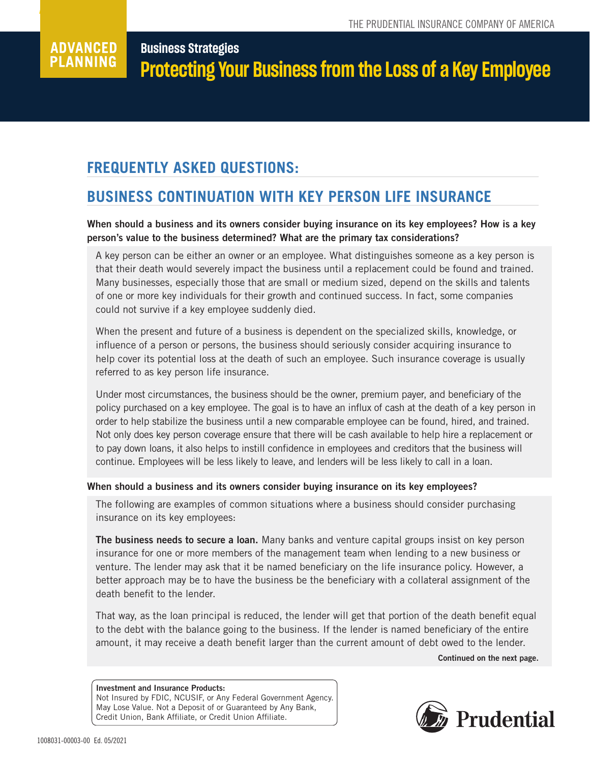#### **Business Strategies**  ADVANCED **PLANNING Protecting Your Business from the Loss of a Key Employee**

# **FREQUENTLY ASKED QUESTIONS:**

**Advanced Planning**

## **BUSINESS CONTINUATION WITH KEY PERSON LIFE INSURANCE**

## When should a business and its owners consider buying insurance on its key employees? How is a key person's value to the business determined? What are the primary tax considerations?

A key person can be either an owner or an employee. What distinguishes someone as a key person is that their death would severely impact the business until a replacement could be found and trained. Many businesses, especially those that are small or medium sized, depend on the skills and talents of one or more key individuals for their growth and continued success. In fact, some companies could not survive if a key employee suddenly died.

When the present and future of a business is dependent on the specialized skills, knowledge, or influence of a person or persons, the business should seriously consider acquiring insurance to help cover its potential loss at the death of such an employee. Such insurance coverage is usually referred to as key person life insurance.

Under most circumstances, the business should be the owner, premium payer, and beneficiary of the policy purchased on a key employee. The goal is to have an influx of cash at the death of a key person in order to help stabilize the business until a new comparable employee can be found, hired, and trained. Not only does key person coverage ensure that there will be cash available to help hire a replacement or to pay down loans, it also helps to instill confidence in employees and creditors that the business will continue. Employees will be less likely to leave, and lenders will be less likely to call in a loan.

### When should a business and its owners consider buying insurance on its key employees?

The following are examples of common situations where a business should consider purchasing insurance on its key employees:

The business needs to secure a loan. Many banks and venture capital groups insist on key person insurance for one or more members of the management team when lending to a new business or venture. The lender may ask that it be named beneficiary on the life insurance policy. However, a better approach may be to have the business be the beneficiary with a collateral assignment of the death benefit to the lender.

That way, as the loan principal is reduced, the lender will get that portion of the death benefit equal to the debt with the balance going to the business. If the lender is named beneficiary of the entire amount, it may receive a death benefit larger than the current amount of debt owed to the lender.

Continued on the next page.

#### Investment and Insurance Products: Not Insured by FDIC, NCUSIF, or Any Federal Government Agency. May Lose Value. Not a Deposit of or Guaranteed by Any Bank, Credit Union, Bank Affiliate, or Credit Union Affiliate.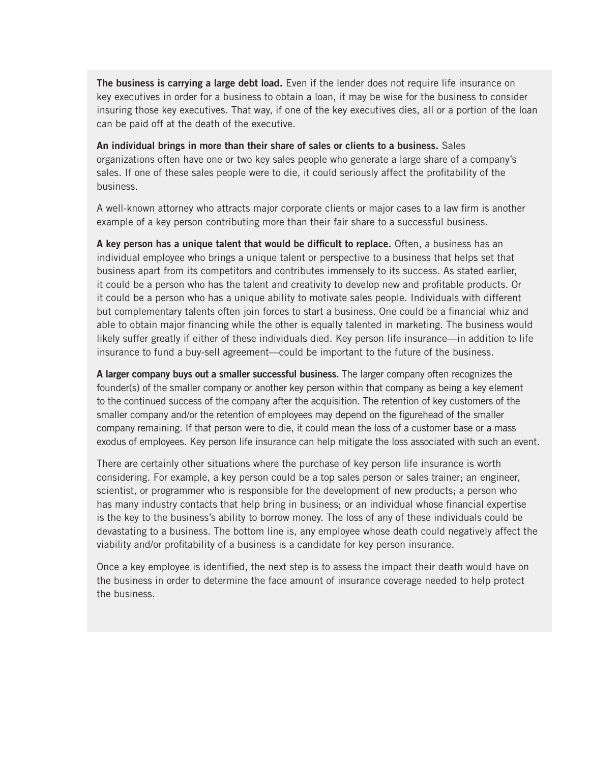The business is carrying a large debt load. Even if the lender does not require life insurance on key executives in order for a business to obtain a loan, it may be wise for the business to consider insuring those key executives. That way, if one of the key executives dies, all or a portion of the loan can be paid off at the death of the executive.

An individual brings in more than their share of sales or clients to a business. Sales organizations often have one or two key sales people who generate a large share of a company's sales. If one of these sales people were to die, it could seriously affect the profitability of the business.

A well-known attorney who attracts major corporate clients or major cases to a law firm is another example of a key person contributing more than their fair share to a successful business.

A key person has a unique talent that would be difficult to replace. Often, a business has an individual employee who brings a unique talent or perspective to a business that helps set that business apart from its competitors and contributes immensely to its success. As stated earlier, it could be a person who has the talent and creativity to develop new and profitable products. Or it could be a person who has a unique ability to motivate sales people. Individuals with different but complementary talents often join forces to start a business. One could be a financial whiz and able to obtain major financing while the other is equally talented in marketing. The business would likely suffer greatly if either of these individuals died. Key person life insurance—in addition to life insurance to fund a buy-sell agreement—could be important to the future of the business.

A larger company buys out a smaller successful business. The larger company often recognizes the founder(s) of the smaller company or another key person within that company as being a key element to the continued success of the company after the acquisition. The retention of key customers of the smaller company and/or the retention of employees may depend on the figurehead of the smaller company remaining. If that person were to die, it could mean the loss of a customer base or a mass exodus of employees. Key person life insurance can help mitigate the loss associated with such an event.

There are certainly other situations where the purchase of key person life insurance is worth considering. For example, a key person could be a top sales person or sales trainer; an engineer, scientist, or programmer who is responsible for the development of new products; a person who has many industry contacts that help bring in business; or an individual whose financial expertise is the key to the business's ability to borrow money. The loss of any of these individuals could be devastating to a business. The bottom line is, any employee whose death could negatively affect the viability and/or profitability of a business is a candidate for key person insurance.

Once a key employee is identified, the next step is to assess the impact their death would have on the business in order to determine the face amount of insurance coverage needed to help protect the business.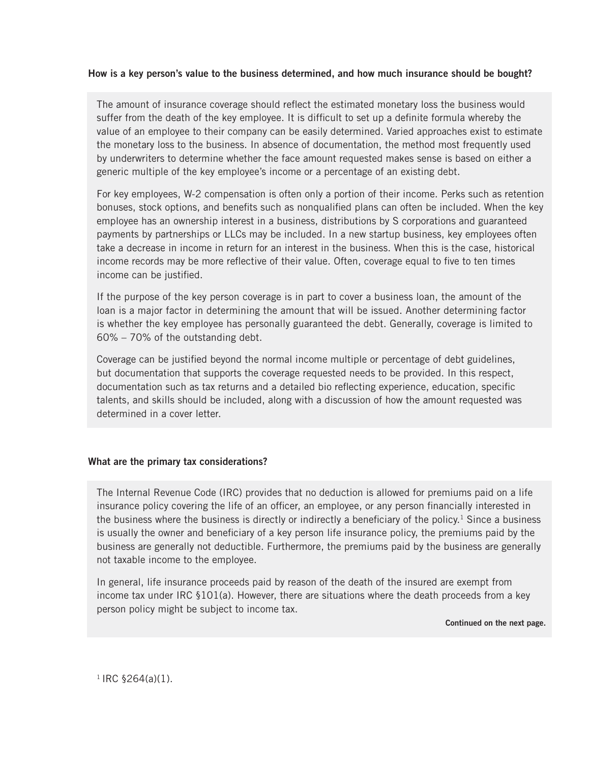### How is a key person's value to the business determined, and how much insurance should be bought?

The amount of insurance coverage should reflect the estimated monetary loss the business would suffer from the death of the key employee. It is difficult to set up a definite formula whereby the value of an employee to their company can be easily determined. Varied approaches exist to estimate the monetary loss to the business. In absence of documentation, the method most frequently used by underwriters to determine whether the face amount requested makes sense is based on either a generic multiple of the key employee's income or a percentage of an existing debt.

For key employees, W-2 compensation is often only a portion of their income. Perks such as retention bonuses, stock options, and benefits such as nonqualified plans can often be included. When the key employee has an ownership interest in a business, distributions by S corporations and guaranteed payments by partnerships or LLCs may be included. In a new startup business, key employees often take a decrease in income in return for an interest in the business. When this is the case, historical income records may be more reflective of their value. Often, coverage equal to five to ten times income can be justified.

If the purpose of the key person coverage is in part to cover a business loan, the amount of the loan is a major factor in determining the amount that will be issued. Another determining factor is whether the key employee has personally guaranteed the debt. Generally, coverage is limited to 60% – 70% of the outstanding debt.

Coverage can be justified beyond the normal income multiple or percentage of debt guidelines, but documentation that supports the coverage requested needs to be provided. In this respect, documentation such as tax returns and a detailed bio reflecting experience, education, specific talents, and skills should be included, along with a discussion of how the amount requested was determined in a cover letter.

### What are the primary tax considerations?

The Internal Revenue Code (IRC) provides that no deduction is allowed for premiums paid on a life insurance policy covering the life of an officer, an employee, or any person financially interested in the business where the business is directly or indirectly a beneficiary of the policy.<sup>1</sup> Since a business is usually the owner and beneficiary of a key person life insurance policy, the premiums paid by the business are generally not deductible. Furthermore, the premiums paid by the business are generally not taxable income to the employee.

In general, life insurance proceeds paid by reason of the death of the insured are exempt from income tax under IRC §101(a). However, there are situations where the death proceeds from a key person policy might be subject to income tax.

Continued on the next page.

 $1$  IRC §264(a)(1).